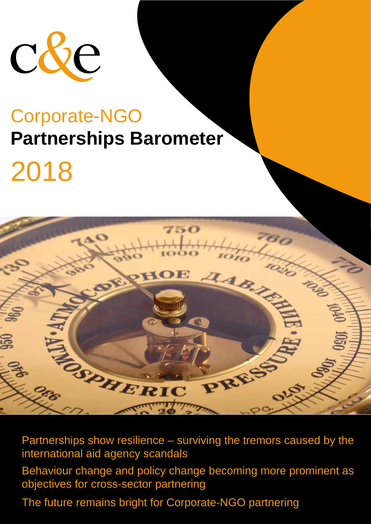

# 2018



Partnerships show resilience  $-$  surviving the tremors caused by the international aid agency scandals Behaviour change and policy change becoming more prominent as objectives for cross-sector partnering

The future remains bright for Corporate-NGO partnering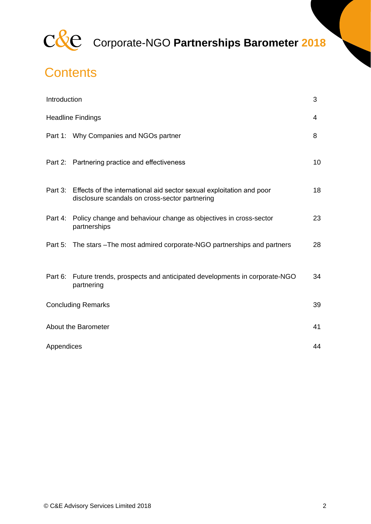

### **Contents**

| Introduction              |                                                                                                                                | 3  |
|---------------------------|--------------------------------------------------------------------------------------------------------------------------------|----|
| <b>Headline Findings</b>  |                                                                                                                                | 4  |
|                           | Part 1: Why Companies and NGOs partner                                                                                         | 8  |
|                           | Part 2: Partnering practice and effectiveness                                                                                  | 10 |
|                           | Part 3: Effects of the international aid sector sexual exploitation and poor<br>disclosure scandals on cross-sector partnering | 18 |
|                           | Part 4: Policy change and behaviour change as objectives in cross-sector<br>partnerships                                       | 23 |
|                           | Part 5: The stars - The most admired corporate-NGO partnerships and partners                                                   | 28 |
|                           | Part 6: Future trends, prospects and anticipated developments in corporate-NGO<br>partnering                                   | 34 |
| <b>Concluding Remarks</b> |                                                                                                                                | 39 |
| About the Barometer       |                                                                                                                                | 41 |
| Appendices                |                                                                                                                                | 44 |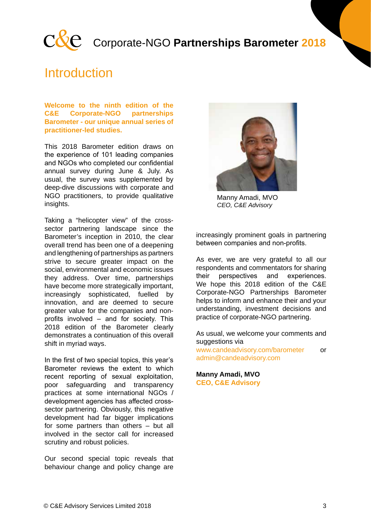

### **Introduction**

**Welcome to the ninth edition of the C&E Corporate-NGO partnerships Barometer - our unique annual series of practitioner-led studies.** 

This 2018 Barometer edition draws on the experience of 101 leading companies and NGOs who completed our confidential annual survey during June & July. As usual, the survey was supplemented by deep-dive discussions with corporate and NGO practitioners, to provide qualitative insights.

Taking a "helicopter view" of the crosssector partnering landscape since the Barometer's inception in 2010, the clear overall trend has been one of a deepening and lengthening of partnerships as partners strive to secure greater impact on the social, environmental and economic issues they address. Over time, partnerships have become more strategically important. increasingly sophisticated, fuelled by innovation, and are deemed to secure greater value for the companies and nonprofits involved – and for society. This 2018 edition of the Barometer clearly demonstrates a continuation of this overall shift in myriad ways.

In the first of two special topics, this year's Barometer reviews the extent to which recent reporting of sexual exploitation, poor safeguarding and transparency practices at some international NGOs / development agencies has affected crosssector partnering. Obviously, this negative development had far bigger implications for some partners than others – but all involved in the sector call for increased scrutiny and robust policies.

Our second special topic reveals that behaviour change and policy change are



Manny Amadi, MVO *CEO, C&E Advisory*

increasingly prominent goals in partnering between companies and non-profits.

As ever, we are very grateful to all our respondents and commentators for sharing their perspectives and experiences. We hope this 2018 edition of the C&E Corporate-NGO Partnerships Barometer helps to inform and enhance their and your understanding, investment decisions and practice of corporate-NGO partnering.

As usual, we welcome your comments and suggestions via www.candeadvisory.com/barometer or

admin@candeadvisory.com

**Manny Amadi, MVO CEO, C&E Advisory**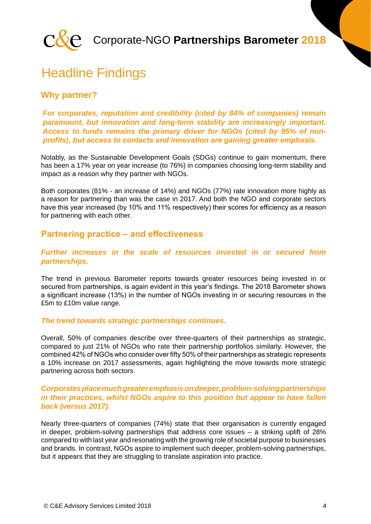

### Headline Findings

#### **Why partner?**

#### *For corporates, reputation and credibility (cited by 84% of companies) remain paramount, but innovation and long-term stability are increasingly important. Access to funds remains the primary driver for NGOs (cited by 95% of nonprofits), but access to contacts and innovation are gaining greater emphasis.*

Notably, as the Sustainable Development Goals (SDGs) continue to gain momentum, there has been a 17% year on year increase (to 76%) in companies choosing long-term stability and impact as a reason why they partner with NGOs.

Both corporates (81% - an increase of 14%) and NGOs (77%) rate innovation more highly as a reason for partnering than was the case in 2017. And both the NGO and corporate sectors have this year increased (by 10% and 11% respectively) their scores for efficiency as a reason for partnering with each other.

#### **Partnering practice – and effectiveness**

#### *Further increases in the scale of resources invested in or secured from partnerships.*

The trend in previous Barometer reports towards greater resources being invested in or secured from partnerships, is again evident in this year's findings. The 2018 Barometer shows a significant increase (13%) in the number of NGOs investing in or securing resources in the £5m to £10m value range.

#### *The trend towards strategic partnerships continues.*

Overall, 50% of companies describe over three-quarters of their partnerships as strategic, compared to just 21% of NGOs who rate their partnership portfolios similarly. However, the combined 42% of NGOs who consider over fifty 50% of their partnerships as strategic represents a 10% increase on 2017 assessments, again highlighting the move towards more strategic partnering across both sectors.

#### *Corporates place much greater emphasis on deeper, problem-solving partnerships in their practices, whilst NGOs aspire to this position but appear to have fallen back (versus 2017).*

Nearly three-quarters of companies (74%) state that their organisation is currently engaged in deeper, problem-solving partnerships that address core issues – a striking uplift of 28% compared to with last year and resonating with the growing role of societal purpose to businesses and brands. In contrast, NGOs aspire to implement such deeper, problem-solving partnerships, but it appears that they are struggling to translate aspiration into practice.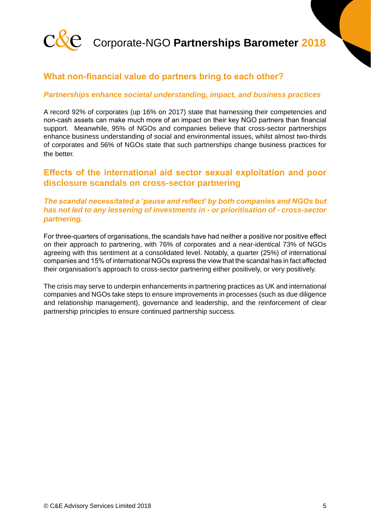

#### **What non-financial value do partners bring to each other?**

#### *Partnerships enhance societal understanding, impact, and business practices*

A record 92% of corporates (up 16% on 2017) state that harnessing their competencies and non-cash assets can make much more of an impact on their key NGO partners than financial support. Meanwhile, 95% of NGOs and companies believe that cross-sector partnerships enhance business understanding of social and environmental issues, whilst almost two-thirds of corporates and 56% of NGOs state that such partnerships change business practices for the better.

#### **Effects of the international aid sector sexual exploitation and poor disclosure scandals on cross-sector partnering**

#### *The scandal necessitated a 'pause and reflect' by both companies and NGOs but has not led to any lessening of investments in - or prioritisation of - cross-sector partnering.*

For three-quarters of organisations, the scandals have had neither a positive nor positive effect on their approach to partnering, with 76% of corporates and a near-identical 73% of NGOs agreeing with this sentiment at a consolidated level. Notably, a quarter (25%) of international companies and 15% of international NGOs express the view that the scandal has in fact affected their organisation's approach to cross-sector partnering either positively, or very positively.

The crisis may serve to underpin enhancements in partnering practices as UK and international companies and NGOs take steps to ensure improvements in processes (such as due diligence and relationship management), governance and leadership, and the reinforcement of clear partnership principles to ensure continued partnership success.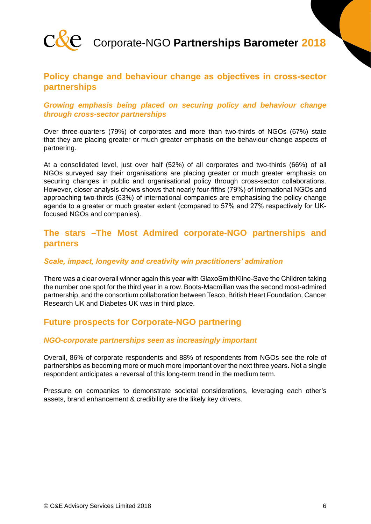![](_page_5_Picture_0.jpeg)

#### **Policy change and behaviour change as objectives in cross-sector partnerships**

#### *Growing emphasis being placed on securing policy and behaviour change through cross-sector partnerships*

Over three-quarters (79%) of corporates and more than two-thirds of NGOs (67%) state that they are placing greater or much greater emphasis on the behaviour change aspects of partnering.

At a consolidated level, just over half (52%) of all corporates and two-thirds (66%) of all NGOs surveyed say their organisations are placing greater or much greater emphasis on securing changes in public and organisational policy through cross-sector collaborations. However, closer analysis chows shows that nearly four-fifths (79%) of international NGOs and approaching two-thirds (63%) of international companies are emphasising the policy change agenda to a greater or much greater extent (compared to 57% and 27% respectively for UKfocused NGOs and companies).

#### **The stars –The Most Admired corporate-NGO partnerships and partners**

#### *Scale, impact, longevity and creativity win practitioners' admiration*

There was a clear overall winner again this year with GlaxoSmithKline-Save the Children taking the number one spot for the third year in a row. Boots-Macmillan was the second most-admired partnership, and the consortium collaboration between Tesco, British Heart Foundation, Cancer Research UK and Diabetes UK was in third place.

#### **Future prospects for Corporate-NGO partnering**

#### *NGO-corporate partnerships seen as increasingly important*

Overall, 86% of corporate respondents and 88% of respondents from NGOs see the role of partnerships as becoming more or much more important over the next three years. Not a single respondent anticipates a reversal of this long-term trend in the medium term.

Pressure on companies to demonstrate societal considerations, leveraging each other's assets, brand enhancement & credibility are the likely key drivers.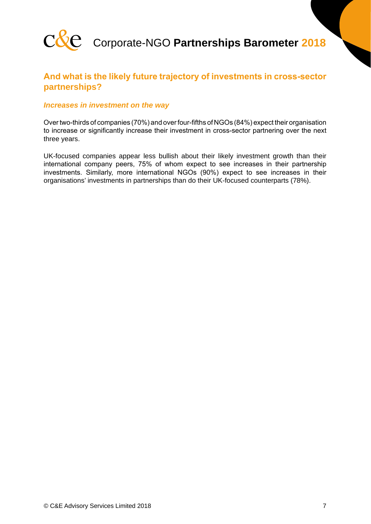![](_page_6_Picture_0.jpeg)

#### **And what is the likely future trajectory of investments in cross-sector partnerships?**

#### *Increases in investment on the way*

Over two-thirds of companies (70%) and over four-fifths of NGOs (84%) expect their organisation to increase or significantly increase their investment in cross-sector partnering over the next three years.

UK-focused companies appear less bullish about their likely investment growth than their international company peers, 75% of whom expect to see increases in their partnership investments. Similarly, more international NGOs (90%) expect to see increases in their organisations' investments in partnerships than do their UK-focused counterparts (78%).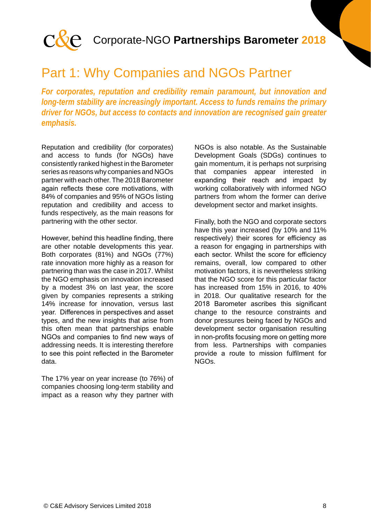![](_page_7_Picture_0.jpeg)

### Part 1: Why Companies and NGOs Partner

*For corporates, reputation and credibility remain paramount, but innovation and long-term stability are increasingly important. Access to funds remains the primary driver for NGOs, but access to contacts and innovation are recognised gain greater emphasis.*

Reputation and credibility (for corporates) and access to funds (for NGOs) have consistently ranked highest in the Barometer series as reasons why companies and NGOs partner with each other. The 2018 Barometer again reflects these core motivations, with 84% of companies and 95% of NGOs listing reputation and credibility and access to funds respectively, as the main reasons for partnering with the other sector.

However, behind this headline finding, there are other notable developments this year. Both corporates (81%) and NGOs (77%) rate innovation more highly as a reason for partnering than was the case in 2017. Whilst the NGO emphasis on innovation increased by a modest 3% on last year, the score given by companies represents a striking 14% increase for innovation, versus last year. Differences in perspectives and asset types, and the new insights that arise from this often mean that partnerships enable NGOs and companies to find new ways of addressing needs. It is interesting therefore to see this point reflected in the Barometer data.

The 17% year on year increase (to 76%) of companies choosing long-term stability and impact as a reason why they partner with

NGOs is also notable. As the Sustainable Development Goals (SDGs) continues to gain momentum, it is perhaps not surprising that companies appear interested in expanding their reach and impact by working collaboratively with informed NGO partners from whom the former can derive development sector and market insights.

Finally, both the NGO and corporate sectors have this year increased (by 10% and 11% respectively) their scores for efficiency as a reason for engaging in partnerships with each sector. Whilst the score for efficiency remains, overall, low compared to other motivation factors, it is nevertheless striking that the NGO score for this particular factor has increased from 15% in 2016, to 40% in 2018. Our qualitative research for the 2018 Barometer ascribes this significant change to the resource constraints and donor pressures being faced by NGOs and development sector organisation resulting in non-profits focusing more on getting more from less. Partnerships with companies provide a route to mission fulfilment for NGOs.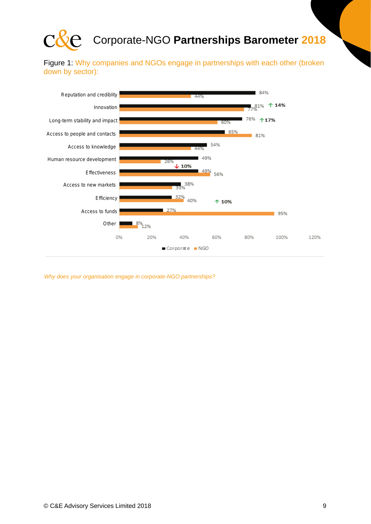![](_page_8_Picture_0.jpeg)

Figure 1: Why companies and NGOs engage in partnerships with each other (broken down by sector):

![](_page_8_Figure_3.jpeg)

*Why does your organisation engage in corporate-NGO partnerships?*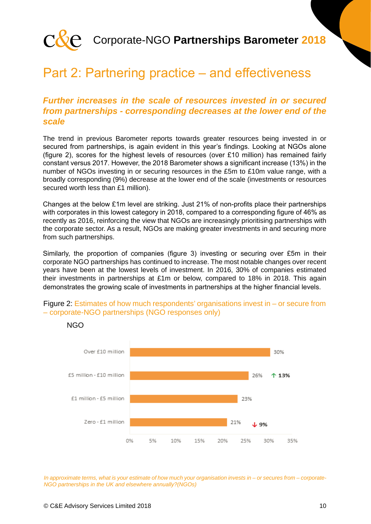![](_page_9_Picture_0.jpeg)

### Part 2: Partnering practice – and effectiveness

#### *Further increases in the scale of resources invested in or secured from partnerships - corresponding decreases at the lower end of the scale*

The trend in previous Barometer reports towards greater resources being invested in or secured from partnerships, is again evident in this year's findings. Looking at NGOs alone (figure 2), scores for the highest levels of resources (over £10 million) has remained fairly constant versus 2017. However, the 2018 Barometer shows a significant increase (13%) in the number of NGOs investing in or securing resources in the £5m to £10m value range, with a broadly corresponding (9%) decrease at the lower end of the scale (investments or resources secured worth less than £1 million).

Changes at the below £1m level are striking. Just 21% of non-profits place their partnerships with corporates in this lowest category in 2018, compared to a corresponding figure of 46% as recently as 2016, reinforcing the view that NGOs are increasingly prioritising partnerships with the corporate sector. As a result, NGOs are making greater investments in and securing more from such partnerships.

Similarly, the proportion of companies (figure 3) investing or securing over £5m in their corporate NGO partnerships has continued to increase. The most notable changes over recent years have been at the lowest levels of investment. In 2016, 30% of companies estimated their investments in partnerships at £1m or below, compared to 18% in 2018. This again demonstrates the growing scale of investments in partnerships at the higher financial levels.

![](_page_9_Figure_7.jpeg)

![](_page_9_Figure_8.jpeg)

NGO

*In approximate terms, what is your estimate of how much your organisation invests in – or secures from – corporate-NGO partnerships in the UK and elsewhere annually?(NGOs)*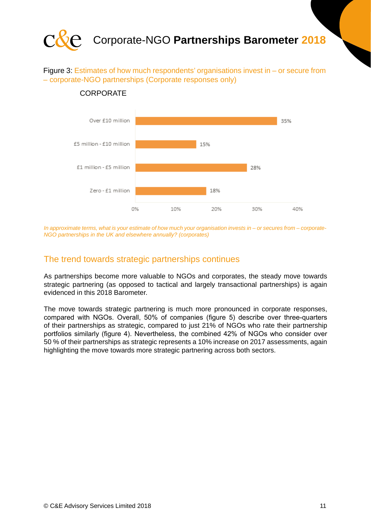![](_page_10_Picture_0.jpeg)

Figure 3: Estimates of how much respondents' organisations invest in – or secure from – corporate-NGO partnerships (Corporate responses only)

![](_page_10_Figure_2.jpeg)

#### **CORPORATE**

*In approximate terms, what is your estimate of how much your organisation invests in – or secures from – corporate-NGO partnerships in the UK and elsewhere annually? (corporates)*

#### The trend towards strategic partnerships continues

As partnerships become more valuable to NGOs and corporates, the steady move towards strategic partnering (as opposed to tactical and largely transactional partnerships) is again evidenced in this 2018 Barometer.

The move towards strategic partnering is much more pronounced in corporate responses, compared with NGOs. Overall, 50% of companies (figure 5) describe over three-quarters of their partnerships as strategic, compared to just 21% of NGOs who rate their partnership portfolios similarly (figure 4). Nevertheless, the combined 42% of NGOs who consider over 50 % of their partnerships as strategic represents a 10% increase on 2017 assessments, again highlighting the move towards more strategic partnering across both sectors.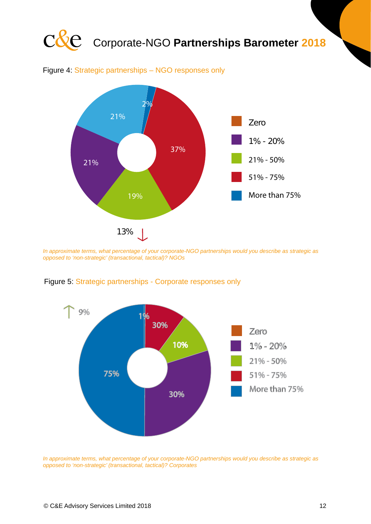![](_page_11_Figure_0.jpeg)

*In approximate terms, what percentage of your corporate-NGO partnerships would you describe as strategic as opposed to 'non-strategic' (transactional, tactical)? NGOs* 25%

![](_page_11_Figure_2.jpeg)

Figure 5: Strategic partnerships - Corporate responses only

*In approximate terms, what percentage of your corporate-NGO partnerships would you describe as strategic as opposed to 'non-strategic' (transactional, tactical)? Corporates*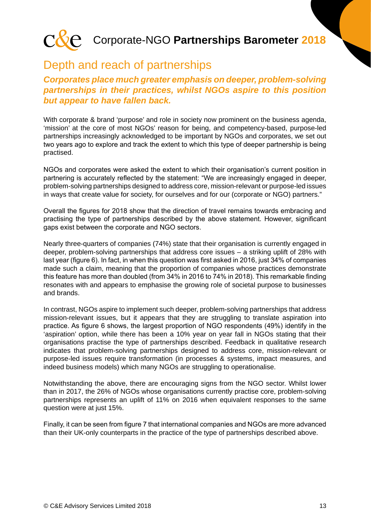![](_page_12_Picture_0.jpeg)

### Depth and reach of partnerships

*Corporates place much greater emphasis on deeper, problem-solving partnerships in their practices, whilst NGOs aspire to this position but appear to have fallen back.*

With corporate & brand 'purpose' and role in society now prominent on the business agenda, 'mission' at the core of most NGOs' reason for being, and competency-based, purpose-led partnerships increasingly acknowledged to be important by NGOs and corporates, we set out two years ago to explore and track the extent to which this type of deeper partnership is being practised.

NGOs and corporates were asked the extent to which their organisation's current position in partnering is accurately reflected by the statement: "We are increasingly engaged in deeper, problem-solving partnerships designed to address core, mission-relevant or purpose-led issues in ways that create value for society, for ourselves and for our (corporate or NGO) partners."

Overall the figures for 2018 show that the direction of travel remains towards embracing and practising the type of partnerships described by the above statement. However, significant gaps exist between the corporate and NGO sectors.

Nearly three-quarters of companies (74%) state that their organisation is currently engaged in deeper, problem-solving partnerships that address core issues – a striking uplift of 28% with last year (figure 6). In fact, in when this question was first asked in 2016, just 34% of companies made such a claim, meaning that the proportion of companies whose practices demonstrate this feature has more than doubled (from 34% in 2016 to 74% in 2018). This remarkable finding resonates with and appears to emphasise the growing role of societal purpose to businesses and brands.

In contrast, NGOs aspire to implement such deeper, problem-solving partnerships that address mission-relevant issues, but it appears that they are struggling to translate aspiration into practice. As figure 6 shows, the largest proportion of NGO respondents (49%) identify in the 'aspiration' option, while there has been a 10% year on year fall in NGOs stating that their organisations practise the type of partnerships described. Feedback in qualitative research indicates that problem-solving partnerships designed to address core, mission-relevant or purpose-led issues require transformation (in processes & systems, impact measures, and indeed business models) which many NGOs are struggling to operationalise.

Notwithstanding the above, there are encouraging signs from the NGO sector. Whilst lower than in 2017, the 26% of NGOs whose organisations currently practise core, problem-solving partnerships represents an uplift of 11% on 2016 when equivalent responses to the same question were at just 15%.

Finally, it can be seen from figure 7 that international companies and NGOs are more advanced than their UK-only counterparts in the practice of the type of partnerships described above.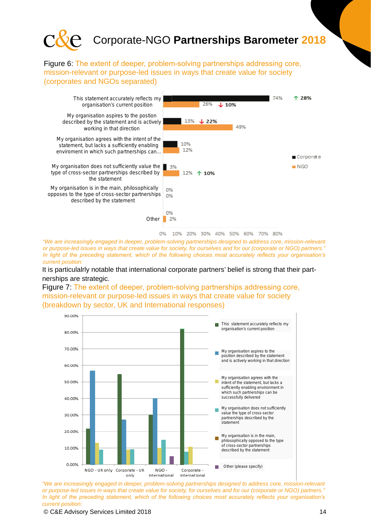![](_page_13_Picture_0.jpeg)

Figure 6: The extent of deeper, problem-solving partnerships addressing core, mission-relevant or purpose-led issues in ways that create value for society (corporates and NGOs separated)

![](_page_13_Figure_2.jpeg)

*"We are increasingly engaged in deeper, problem-solving partnerships designed to address core, mission-relevant or purpose-led issues in ways that create value for society, for ourselves and for our (corporate or NGO) partners." In light of the preceding statement, which of the following choices most accurately reflects your organisation's current position:*

It is particulalrly notable that international corporate partners' belief is strong that their partnerships are strategic.

Figure 7: The extent of deeper, problem-solving partnerships addressing core, mission-relevant or purpose-led issues in ways that create value for society (breakdown by sector, UK and International responses)

![](_page_13_Figure_6.jpeg)

*"We are increasingly engaged in deeper, problem-solving partnerships designed to address core, mission-relevant or purpose-led issues in ways that create value for society, for ourselves and for our (corporate or NGO) partners." In light of the preceding statement, which of the following choices most accurately reflects your organisation's current position:*

© C&E Advisory Services Limited 2018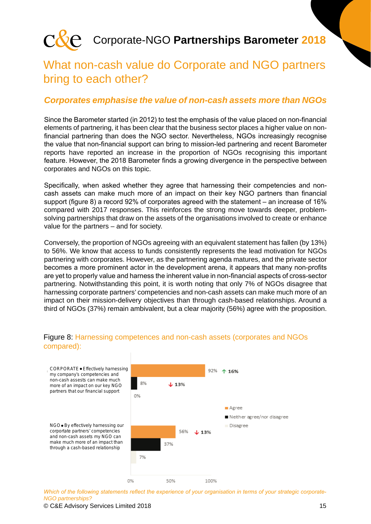![](_page_14_Picture_0.jpeg)

### What non-cash value do Corporate and NGO partners bring to each other?

#### *Corporates emphasise the value of non-cash assets more than NGOs*

Since the Barometer started (in 2012) to test the emphasis of the value placed on non-financial elements of partnering, it has been clear that the business sector places a higher value on nonfinancial partnering than does the NGO sector. Nevertheless, NGOs increasingly recognise the value that non-financial support can bring to mission-led partnering and recent Barometer reports have reported an increase in the proportion of NGOs recognising this important feature. However, the 2018 Barometer finds a growing divergence in the perspective between corporates and NGOs on this topic.

Specifically, when asked whether they agree that harnessing their competencies and noncash assets can make much more of an impact on their key NGO partners than financial support (figure 8) a record 92% of corporates agreed with the statement – an increase of 16% compared with 2017 responses. This reinforces the strong move towards deeper, problemsolving partnerships that draw on the assets of the organisations involved to create or enhance value for the partners – and for society.

Conversely, the proportion of NGOs agreeing with an equivalent statement has fallen (by 13%) to 56%. We know that access to funds consistently represents the lead motivation for NGOs partnering with corporates. However, as the partnering agenda matures, and the private sector becomes a more prominent actor in the development arena, it appears that many non-profits are yet to properly value and harness the inherent value in non-financial aspects of cross-sector partnering. Notwithstanding this point, it is worth noting that only 7% of NGOs disagree that harnessing corporate partners' competencies and non-cash assets can make much more of an impact on their mission-delivery objectives than through cash-based relationships. Around a third of NGOs (37%) remain ambivalent, but a clear majority (56%) agree with the proposition.

![](_page_14_Figure_7.jpeg)

#### Figure 8: Harnessing competences and non-cash assets (corporates and NGOs compared):

*Which of the following statements reflect the experience of your organisation in terms of your strategic corporate-NGO partnerships?*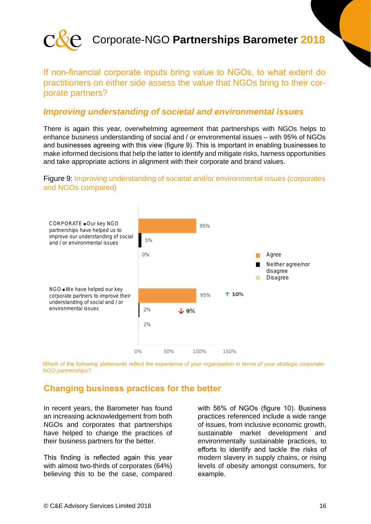![](_page_15_Picture_0.jpeg)

#### If non-financial corporate inputs bring value to NGOs, to what extent do practitioners on either side assess the value that NGOs bring to their corporate partners?

#### *Improving understanding of societal and environmental issues*

There is again this year, overwhelming agreement that partnerships with NGOs helps to enhance business understanding of social and / or environmental issues – with 95% of NGOs and businesses agreeing with this view (figure 9). This is important in enabling businesses to make informed decisions that help the latter to identify and mitigate risks, harness opportunities and take appropriate actions in alignment with their corporate and brand values.

#### Figure 9: Improving understanding of societal and/or environmental issues (corporates and NGOs compared)

![](_page_15_Figure_6.jpeg)

*Which of the following statements reflect the experience of your organisation in terms of your strategic corporate-NGO partnerships?*

#### **Changing business practices for the better**

In recent years, the Barometer has found an increasing acknowledgement from both NGOs and corporates that partnerships have helped to change the practices of their business partners for the better.

This finding is reflected again this year with almost two-thirds of corporates (64%) believing this to be the case, compared

with 56% of NGOs (figure 10). Business practices referenced include a wide range of issues, from inclusive economic growth, sustainable market development and environmentally sustainable practices, to efforts to identify and tackle the risks of modern slavery in supply chains, or rising levels of obesity amongst consumers, for example.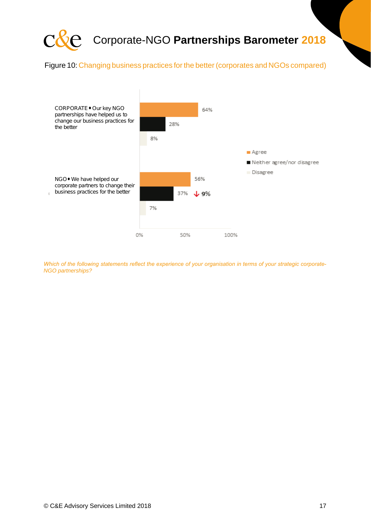![](_page_16_Picture_0.jpeg)

Figure 10: Changing business practices for the better (corporates and NGOs compared)

![](_page_16_Figure_2.jpeg)

*Which of the following statements reflect the experience of your organisation in terms of your strategic corporate-NGO partnerships?*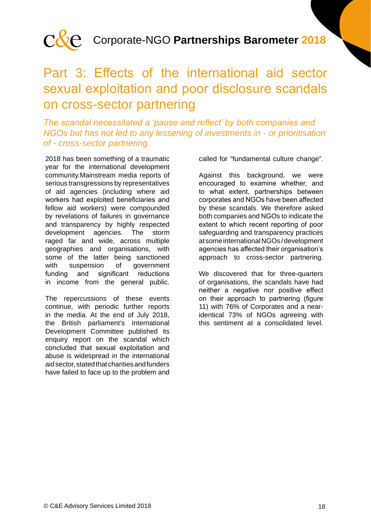![](_page_17_Picture_0.jpeg)

### Part 3: Effects of the international aid sector sexual exploitation and poor disclosure scandals on cross-sector partnering

#### *The scandal necessitated a 'pause and reflect' by both companies and NGOs but has not led to any lessening of investments in - or prioritisation of - cross-sector partnering.*

2018 has been something of a traumatic year for the international development community.Mainstream media reports of serious transgressions by representatives of aid agencies (including where aid workers had exploited beneficiaries and fellow aid workers) were compounded by revelations of failures in governance and transparency by highly respected development agencies. The storm raged far and wide, across multiple geographies and organisations, with some of the latter being sanctioned with suspension of government funding and significant reductions in income from the general public.

The repercussions of these events continue, with periodic further reports in the media. At the end of July 2018, the British parliament's International Development Committee published its enquiry report on the scandal which concluded that sexual exploitation and abuse is widespread in the international aid sector, stated that charities and funders have failed to face up to the problem and

called for "fundamental culture change".

Against this background, we were encouraged to examine whether, and to what extent, partnerships between corporates and NGOs have been affected by these scandals. We therefore asked both companies and NGOs to indicate the extent to which recent reporting of poor safeguarding and transparency practices at some international NGOs / development agencies has affected their organisation's approach to cross-sector partnering.

We discovered that for three-quarters of organisations, the scandals have had neither a negative nor positive effect on their approach to partnering (figure 11) with 76% of Corporates and a nearidentical 73% of NGOs agreeing with this sentiment at a consolidated level.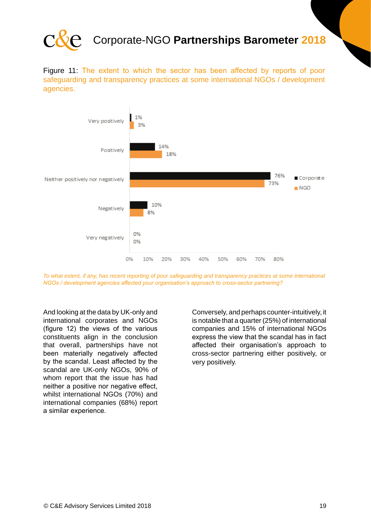![](_page_18_Picture_0.jpeg)

Figure 11: The extent to which the sector has been affected by reports of poor safeguarding and transparency practices at some international NGOs / development agencies.

![](_page_18_Figure_3.jpeg)

*To what extent, if any, has recent reporting of poor safeguarding and transparency practices at some international NGOs / development agencies affected your organisation's approach to cross-sector partnering?*

And looking at the data by UK-only and international corporates and NGOs (figure 12) the views of the various constituents align in the conclusion that overall, partnerships have not been materially negatively affected by the scandal. Least affected by the scandal are UK-only NGOs, 90% of whom report that the issue has had neither a positive nor negative effect, whilst international NGOs (70%) and international companies (68%) report a similar experience.

Conversely, and perhaps counter-intuitively, it is notable that a quarter (25%) of international companies and 15% of international NGOs express the view that the scandal has in fact affected their organisation's approach to cross-sector partnering either positively, or very positively.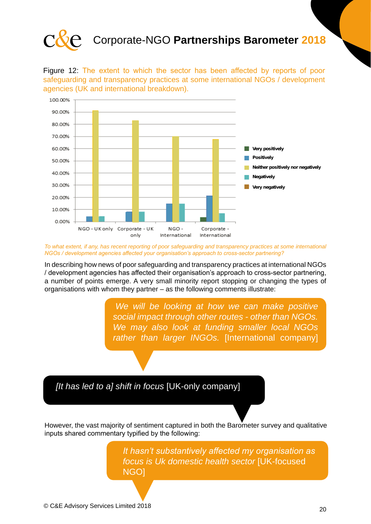![](_page_19_Picture_0.jpeg)

Figure 12: The extent to which the sector has been affected by reports of poor safeguarding and transparency practices at some international NGOs / development agencies (UK and international breakdown).

![](_page_19_Figure_3.jpeg)

*To what extent, if any, has recent reporting of poor safeguarding and transparency practices at some international NGOs / development agencies affected your organisation's approach to cross-sector partnering?*

In describing how news of poor safeguarding and transparency practices at international NGOs / development agencies has affected their organisation's approach to cross-sector partnering, a number of points emerge. A very small minority report stopping or changing the types of organisations with whom they partner – as the following comments illustrate:

> *"We will be looking at how we can make positive social impact through other routes - other than NGOs. We may also look at funding smaller local NGOs rather than larger INGOs.* [International company]

*[It has led to a] shift in focus* [UK-only company]

However, the vast majority of sentiment captured in both the Barometer survey and qualitative inputs shared commentary typified by the following:

> *It hasn't substantively affected my organisation as focus is Uk domestic health sector* [UK-focused NGO]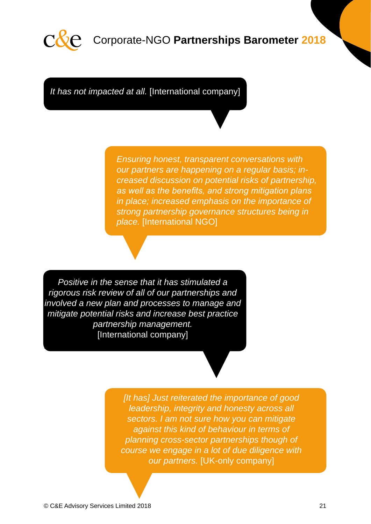![](_page_20_Picture_0.jpeg)

*It has not impacted at all.* [International company]

*Ensuring honest, transparent conversations with our partners are happening on a regular basis; increased discussion on potential risks of partnership, as well as the benefits, and strong mitigation plans in place; increased emphasis on the importance of strong partnership governance structures being in place.* [International NGO]

*Positive in the sense that it has stimulated a rigorous risk review of all of our partnerships and involved a new plan and processes to manage and mitigate potential risks and increase best practice partnership management.*  [International company]

> *[It has] Just reiterated the importance of good leadership, integrity and honesty across all sectors. I am not sure how you can mitigate against this kind of behaviour in terms of planning cross-sector partnerships though of course we engage in a lot of due diligence with our partners.* [UK-only company]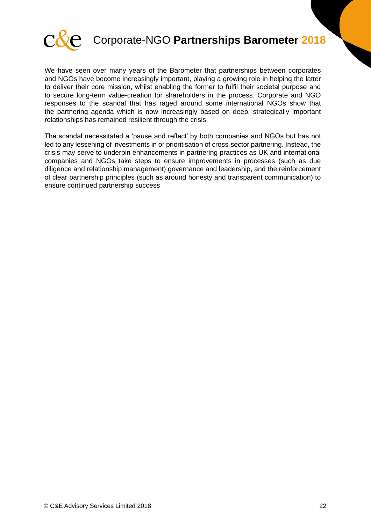![](_page_21_Picture_0.jpeg)

We have seen over many years of the Barometer that partnerships between corporates and NGOs have become increasingly important, playing a growing role in helping the latter to deliver their core mission, whilst enabling the former to fulfil their societal purpose and to secure long-term value-creation for shareholders in the process. Corporate and NGO responses to the scandal that has raged around some international NGOs show that the partnering agenda which is now increasingly based on deep, strategically important relationships has remained resilient through the crisis.

The scandal necessitated a 'pause and reflect' by both companies and NGOs but has not led to any lessening of investments in or prioritisation of cross-sector partnering. Instead, the crisis may serve to underpin enhancements in partnering practices as UK and international companies and NGOs take steps to ensure improvements in processes (such as due diligence and relationship management) governance and leadership, and the reinforcement of clear partnership principles (such as around honesty and transparent communication) to ensure continued partnership success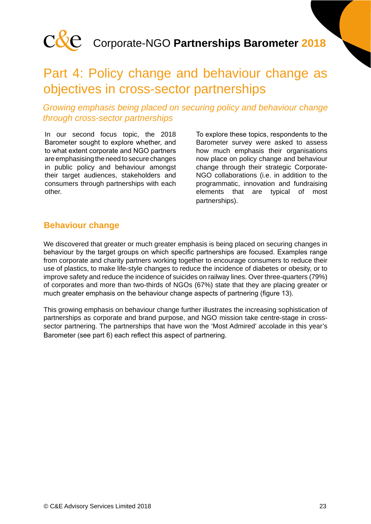![](_page_22_Picture_0.jpeg)

### Part 4: Policy change and behaviour change as objectives in cross-sector partnerships

#### *Growing emphasis being placed on securing policy and behaviour change through cross-sector partnerships*

In our second focus topic, the 2018 Barometer sought to explore whether, and to what extent corporate and NGO partners are emphasising the need to secure changes in public policy and behaviour amongst their target audiences, stakeholders and consumers through partnerships with each other.

To explore these topics, respondents to the Barometer survey were asked to assess how much emphasis their organisations now place on policy change and behaviour change through their strategic Corporate-NGO collaborations (i.e. in addition to the programmatic, innovation and fundraising elements that are typical of most partnerships).

#### **Behaviour change**

We discovered that greater or much greater emphasis is being placed on securing changes in behaviour by the target groups on which specific partnerships are focused. Examples range from corporate and charity partners working together to encourage consumers to reduce their use of plastics, to make life-style changes to reduce the incidence of diabetes or obesity, or to improve safety and reduce the incidence of suicides on railway lines. Over three-quarters (79%) of corporates and more than two-thirds of NGOs (67%) state that they are placing greater or much greater emphasis on the behaviour change aspects of partnering (figure 13).

This growing emphasis on behaviour change further illustrates the increasing sophistication of partnerships as corporate and brand purpose, and NGO mission take centre-stage in crosssector partnering. The partnerships that have won the 'Most Admired' accolade in this year's Barometer (see part 6) each reflect this aspect of partnering.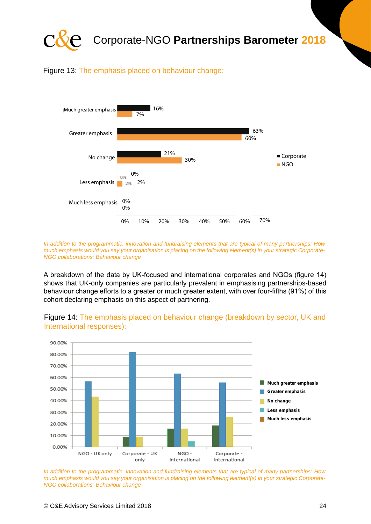![](_page_23_Picture_0.jpeg)

Figure 13: The emphasis placed on behaviour change:

![](_page_23_Figure_2.jpeg)

*In addition to the programmatic, innovation and fundraising elements that are typical of many partnerships: How much emphasis would you say your organisation is placing on the following element(s) in your strategic Corporate-NGO collaborations: Behaviour change*

A breakdown of the data by UK-focused and international corporates and NGOs (figure 14) shows that UK-only companies are particularly prevalent in emphasising partnerships-based behaviour change efforts to a greater or much greater extent, with over four-fifths (91%) of this cohort declaring emphasis on this aspect of partnering.

![](_page_23_Figure_5.jpeg)

Figure 14: The emphasis placed on behaviour change (breakdown by sector, UK and International responses):

*In addition to the programmatic, innovation and fundraising elements that are typical of many partnerships: How much emphasis would you say your organisation is placing on the following element(s) in your strategic Corporate-NGO collaborations: Behaviour change*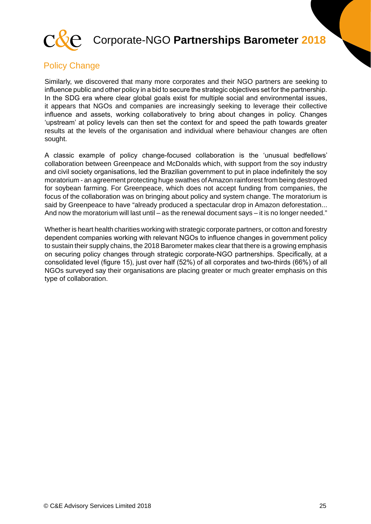![](_page_24_Picture_0.jpeg)

#### Policy Change

Similarly, we discovered that many more corporates and their NGO partners are seeking to influence public and other policy in a bid to secure the strategic objectives set for the partnership. In the SDG era where clear global goals exist for multiple social and environmental issues, it appears that NGOs and companies are increasingly seeking to leverage their collective influence and assets, working collaboratively to bring about changes in policy. Changes 'upstream' at policy levels can then set the context for and speed the path towards greater results at the levels of the organisation and individual where behaviour changes are often sought.

A classic example of policy change-focused collaboration is the 'unusual bedfellows' collaboration between Greenpeace and McDonalds which, with support from the soy industry and civil society organisations, led the Brazilian government to put in place indefinitely the soy moratorium - an agreement protecting huge swathes of Amazon rainforest from being destroyed for soybean farming. For Greenpeace, which does not accept funding from companies, the focus of the collaboration was on bringing about policy and system change. The moratorium is said by Greenpeace to have "already produced a spectacular drop in Amazon deforestation... And now the moratorium will last until – as the renewal document says – it is no longer needed."

Whether is heart health charities working with strategic corporate partners, or cotton and forestry dependent companies working with relevant NGOs to influence changes in government policy to sustain their supply chains, the 2018 Barometer makes clear that there is a growing emphasis on securing policy changes through strategic corporate-NGO partnerships. Specifically, at a consolidated level (figure 15), just over half (52%) of all corporates and two-thirds (66%) of all NGOs surveyed say their organisations are placing greater or much greater emphasis on this type of collaboration.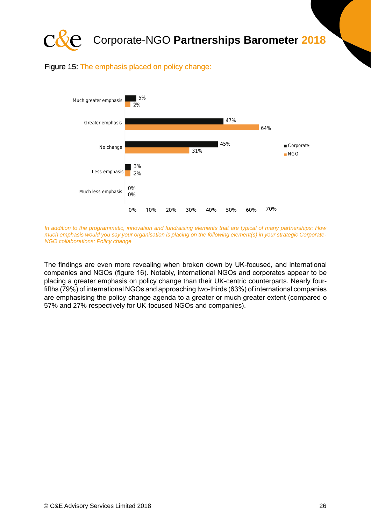![](_page_25_Picture_0.jpeg)

#### Figure 15: The emphasis placed on policy change:

![](_page_25_Figure_2.jpeg)

*In addition to the programmatic, innovation and fundraising elements that are typical of many partnerships: How much emphasis would you say your organisation is placing on the following element(s) in your strategic Corporate-NGO collaborations: Policy change*

The findings are even more revealing when broken down by UK-focused, and international companies and NGOs (figure 16). Notably, international NGOs and corporates appear to be placing a greater emphasis on policy change than their UK-centric counterparts. Nearly fourfifths (79%) of international NGOs and approaching two-thirds (63%) of international companies are emphasising the policy change agenda to a greater or much greater extent (compared o 57% and 27% respectively for UK-focused NGOs and companies).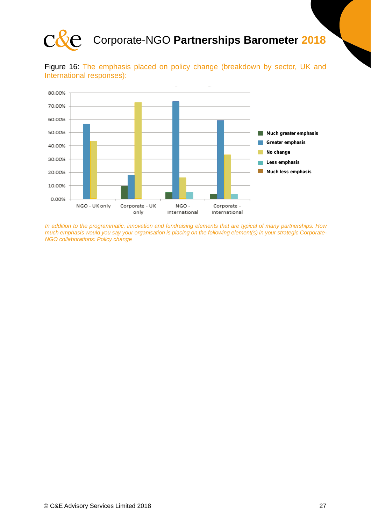![](_page_26_Picture_0.jpeg)

![](_page_26_Figure_2.jpeg)

![](_page_26_Figure_3.jpeg)

*In addition to the programmatic, innovation and fundraising elements that are typical of many partnerships: How much emphasis would you say your organisation is placing on the following element(s) in your strategic Corporate-NGO collaborations: Policy change*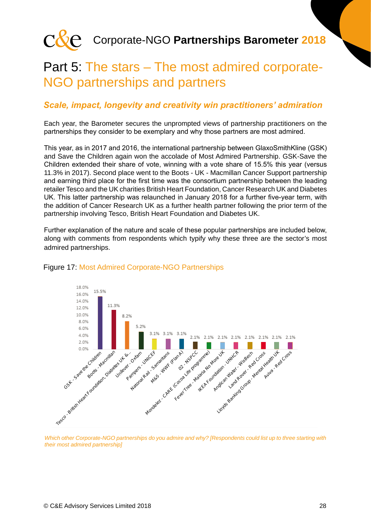![](_page_27_Picture_0.jpeg)

### Part 5: The stars – The most admired corporate-NGO partnerships and partners

#### *Scale, impact, longevity and creativity win practitioners' admiration*

Each year, the Barometer secures the unprompted views of partnership practitioners on the partnerships they consider to be exemplary and why those partners are most admired.

This year, as in 2017 and 2016, the international partnership between GlaxoSmithKline (GSK) and Save the Children again won the accolade of Most Admired Partnership. GSK-Save the Children extended their share of vote, winning with a vote share of 15.5% this year (versus 11.3% in 2017). Second place went to the Boots - UK - Macmillan Cancer Support partnership and earning third place for the first time was the consortium partnership between the leading retailer Tesco and the UK charities British Heart Foundation, Cancer Research UK and Diabetes UK. This latter partnership was relaunched in January 2018 for a further five-year term, with the addition of Cancer Research UK as a further health partner following the prior term of the partnership involving Tesco, British Heart Foundation and Diabetes UK.

Further explanation of the nature and scale of these popular partnerships are included below, along with comments from respondents which typify why these three are the sector's most admired partnerships.

![](_page_27_Figure_7.jpeg)

#### Figure 17: Most Admired Corporate-NGO Partnerships

*Which other Corporate-NGO partnerships do you admire and why? [Respondents could list up to three starting with their most admired partnership]*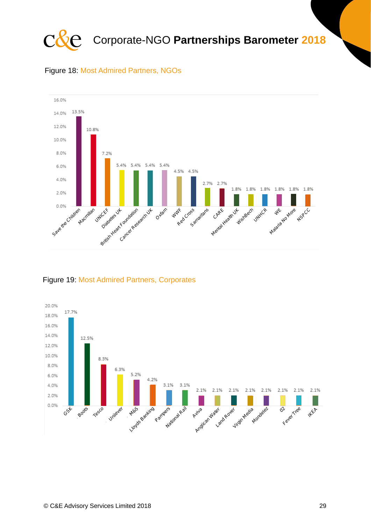![](_page_28_Picture_0.jpeg)

![](_page_28_Figure_1.jpeg)

![](_page_28_Figure_2.jpeg)

#### Figure 19: Most Admired Partners, Corporates

![](_page_28_Figure_4.jpeg)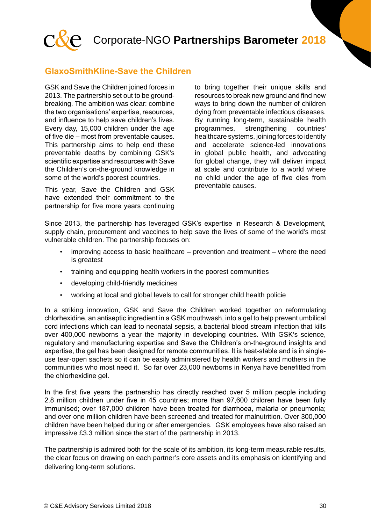![](_page_29_Picture_0.jpeg)

#### **GlaxoSmithKline-Save the Children**

GSK and Save the Children joined forces in 2013. The partnership set out to be groundbreaking. The ambition was clear: combine the two organisations' expertise, resources, and influence to help save children's lives. Every day, 15,000 children under the age of five die – most from preventable causes. This partnership aims to help end these preventable deaths by combining GSK's scientific expertise and resources with Save the Children's on-the-ground knowledge in some of the world's poorest countries.

This year, Save the Children and GSK have extended their commitment to the partnership for five more years continuing to bring together their unique skills and resources to break new ground and find new ways to bring down the number of children dying from preventable infectious diseases. By running long-term, sustainable health programmes, strengthening countries' healthcare systems, joining forces to identify and accelerate science-led innovations in global public health, and advocating for global change, they will deliver impact at scale and contribute to a world where no child under the age of five dies from preventable causes.

Since 2013, the partnership has leveraged GSK's expertise in Research & Development, supply chain, procurement and vaccines to help save the lives of some of the world's most vulnerable children. The partnership focuses on:

- $improving access to basic healthcare prevention and treatment where the need$ is greatest
- training and equipping health workers in the poorest communities
- developing child-friendly medicines
- working at local and global levels to call for stronger child health policie

In a striking innovation, GSK and Save the Children worked together on reformulating chlorhexidine, an antiseptic ingredient in a GSK mouthwash, into a gel to help prevent umbilical cord infections which can lead to neonatal sepsis, a bacterial blood stream infection that kills over 400,000 newborns a year the majority in developing countries. With GSK's science, regulatory and manufacturing expertise and Save the Children's on-the-ground insights and expertise, the gel has been designed for remote communities. It is heat-stable and is in singleuse tear-open sachets so it can be easily administered by health workers and mothers in the communities who most need it. So far over 23,000 newborns in Kenya have benefitted from the chlorhexidine gel.

In the first five years the partnership has directly reached over 5 million people including 2.8 million children under five in 45 countries; more than 97,600 children have been fully immunised; over 187,000 children have been treated for diarrhoea, malaria or pneumonia; and over one million children have been screened and treated for malnutrition. Over 300,000 children have been helped during or after emergencies. GSK employees have also raised an impressive £3.3 million since the start of the partnership in 2013.

The partnership is admired both for the scale of its ambition, its long-term measurable results, the clear focus on drawing on each partner's core assets and its emphasis on identifying and delivering long-term solutions.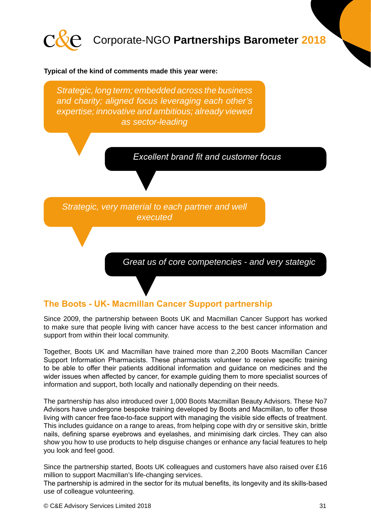![](_page_30_Picture_0.jpeg)

#### **Typical of the kind of comments made this year were:**

*Strategic, long term; embedded across the business and charity; aligned focus leveraging each other's expertise; innovative and ambitious; already viewed as sector-leading*

*Excellent brand fit and customer focus*

*Strategic, very material to each partner and well executed*

*Great us of core competencies - and very stategic*

#### **The Boots - UK- Macmillan Cancer Support partnership**

Since 2009, the partnership between Boots UK and Macmillan Cancer Support has worked to make sure that people living with cancer have access to the best cancer information and support from within their local community.

Together, Boots UK and Macmillan have trained more than 2,200 Boots Macmillan Cancer Support Information Pharmacists. These pharmacists volunteer to receive specific training to be able to offer their patients additional information and guidance on medicines and the wider issues when affected by cancer, for example guiding them to more specialist sources of information and support, both locally and nationally depending on their needs.

The partnership has also introduced over 1,000 Boots Macmillan Beauty Advisors. These No7 Advisors have undergone bespoke training developed by Boots and Macmillan, to offer those living with cancer free face-to-face support with managing the visible side effects of treatment. This includes guidance on a range to areas, from helping cope with dry or sensitive skin, brittle nails, defining sparse eyebrows and eyelashes, and minimising dark circles. They can also show you how to use products to help disguise changes or enhance any facial features to help you look and feel good.

Since the partnership started, Boots UK colleagues and customers have also raised over £16 million to support Macmillan's life-changing services.

The partnership is admired in the sector for its mutual benefits, its longevity and its skills-based use of colleague volunteering.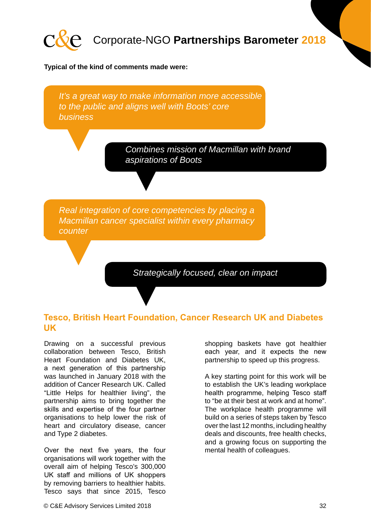![](_page_31_Picture_0.jpeg)

#### **Typical of the kind of comments made were:**

*It's a great way to make information more accessible to the public and aligns well with Boots' core business*

> *Combines mission of Macmillan with brand aspirations of Boots*

*Real integration of core competencies by placing a Macmillan cancer specialist within every pharmacy counter*

*Strategically focused, clear on impact*

#### **Tesco, British Heart Foundation, Cancer Research UK and Diabetes UK**

Drawing on a successful previous collaboration between Tesco, British Heart Foundation and Diabetes UK, a next generation of this partnership was launched in January 2018 with the addition of Cancer Research UK. Called "Little Helps for healthier living", the partnership aims to bring together the skills and expertise of the four partner organisations to help lower the risk of heart and circulatory disease, cancer and Type 2 diabetes.

Over the next five years, the four organisations will work together with the overall aim of helping Tesco's 300,000 UK staff and millions of UK shoppers by removing barriers to healthier habits. Tesco says that since 2015, Tesco

shopping baskets have got healthier each year, and it expects the new partnership to speed up this progress.

A key starting point for this work will be to establish the UK's leading workplace health programme, helping Tesco staff to "be at their best at work and at home". The workplace health programme will build on a series of steps taken by Tesco over the last 12 months, including healthy deals and discounts, free health checks, and a growing focus on supporting the mental health of colleagues.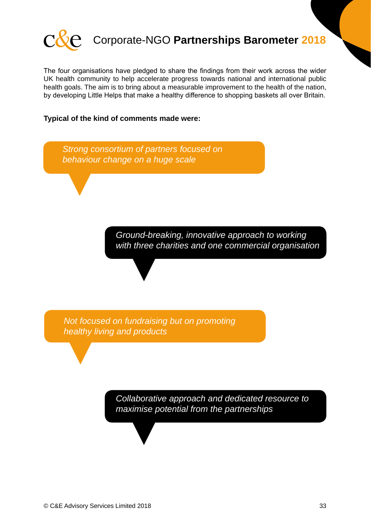![](_page_32_Picture_0.jpeg)

The four organisations have pledged to share the findings from their work across the wider UK health community to help accelerate progress towards national and international public health goals. The aim is to bring about a measurable improvement to the health of the nation, by developing Little Helps that make a healthy difference to shopping baskets all over Britain.

#### **Typical of the kind of comments made were:**

![](_page_32_Figure_4.jpeg)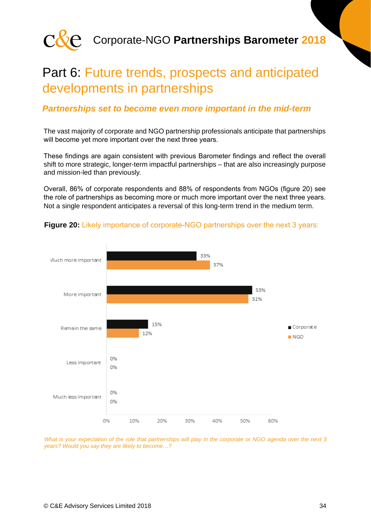![](_page_33_Picture_0.jpeg)

### Part 6: Future trends, prospects and anticipated developments in partnerships

#### *Partnerships set to become even more important in the mid-term*

The vast majority of corporate and NGO partnership professionals anticipate that partnerships will become yet more important over the next three years.

These findings are again consistent with previous Barometer findings and reflect the overall shift to more strategic, longer-term impactful partnerships – that are also increasingly purpose and mission-led than previously.

Overall, 86% of corporate respondents and 88% of respondents from NGOs (figure 20) see the role of partnerships as becoming more or much more important over the next three years. Not a single respondent anticipates a reversal of this long-term trend in the medium term.

![](_page_33_Figure_7.jpeg)

#### **Figure 20:** Likely importance of corporate-NGO partnerships over the next 3 years:

*What is your expectation of the role that partnerships will play in the corporate or NGO agenda over the next 3 years? Would you say they are likely to become…?*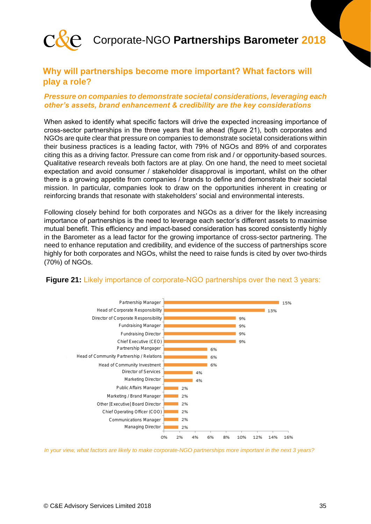![](_page_34_Picture_0.jpeg)

#### **Why will partnerships become more important? What factors will play a role?**

#### *Pressure on companies to demonstrate societal considerations, leveraging each other's assets, brand enhancement & credibility are the key considerations*

When asked to identify what specific factors will drive the expected increasing importance of cross-sector partnerships in the three years that lie ahead (figure 21), both corporates and NGOs are quite clear that pressure on companies to demonstrate societal considerations within their business practices is a leading factor, with 79% of NGOs and 89% of and corporates citing this as a driving factor. Pressure can come from risk and / or opportunity-based sources. Qualitative research reveals both factors are at play. On one hand, the need to meet societal expectation and avoid consumer / stakeholder disapproval is important, whilst on the other there is a growing appetite from companies / brands to define and demonstrate their societal mission. In particular, companies look to draw on the opportunities inherent in creating or reinforcing brands that resonate with stakeholders' social and environmental interests.

Following closely behind for both corporates and NGOs as a driver for the likely increasing importance of partnerships is the need to leverage each sector's different assets to maximise mutual benefit. This efficiency and impact-based consideration has scored consistently highly in the Barometer as a lead factor for the growing importance of cross-sector partnering. The need to enhance reputation and credibility, and evidence of the success of partnerships score highly for both corporates and NGOs, whilst the need to raise funds is cited by over two-thirds (70%) of NGOs.

![](_page_34_Figure_6.jpeg)

#### **Figure 21:** Likely importance of corporate-NGO partnerships over the next 3 years:

*In your view, what factors are likely to make corporate-NGO partnerships more important in the next 3 years?*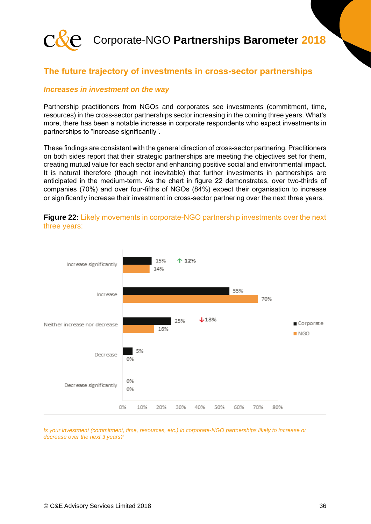![](_page_35_Picture_0.jpeg)

#### **The future trajectory of investments in cross-sector partnerships**

#### *Increases in investment on the way*

Partnership practitioners from NGOs and corporates see investments (commitment, time, resources) in the cross-sector partnerships sector increasing in the coming three years. What's more, there has been a notable increase in corporate respondents who expect investments in partnerships to "increase significantly".

These findings are consistent with the general direction of cross-sector partnering. Practitioners on both sides report that their strategic partnerships are meeting the objectives set for them, creating mutual value for each sector and enhancing positive social and environmental impact. It is natural therefore (though not inevitable) that further investments in partnerships are anticipated in the medium-term. As the chart in figure 22 demonstrates, over two-thirds of companies (70%) and over four-fifths of NGOs (84%) expect their organisation to increase or significantly increase their investment in cross-sector partnering over the next three years.

![](_page_35_Figure_6.jpeg)

**Figure 22:** Likely movements in corporate-NGO partnership investments over the next three years:

*Is your investment (commitment, time, resources, etc.) in corporate-NGO partnerships likely to increase or decrease over the next 3 years?*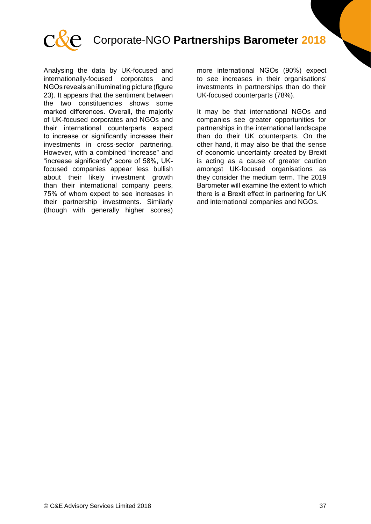![](_page_36_Picture_0.jpeg)

Analysing the data by UK-focused and internationally-focused corporates and NGOs reveals an illuminating picture (figure 23). It appears that the sentiment between the two constituencies shows some marked differences. Overall, the majority of UK-focused corporates and NGOs and their international counterparts expect to increase or significantly increase their investments in cross-sector partnering. However, with a combined "increase" and "increase significantly" score of 58%, UKfocused companies appear less bullish about their likely investment growth than their international company peers, 75% of whom expect to see increases in their partnership investments. Similarly (though with generally higher scores) more international NGOs (90%) expect to see increases in their organisations' investments in partnerships than do their UK-focused counterparts (78%).

It may be that international NGOs and companies see greater opportunities for partnerships in the international landscape than do their UK counterparts. On the other hand, it may also be that the sense of economic uncertainty created by Brexit is acting as a cause of greater caution amongst UK-focused organisations as they consider the medium term. The 2019 Barometer will examine the extent to which there is a Brexit effect in partnering for UK and international companies and NGOs.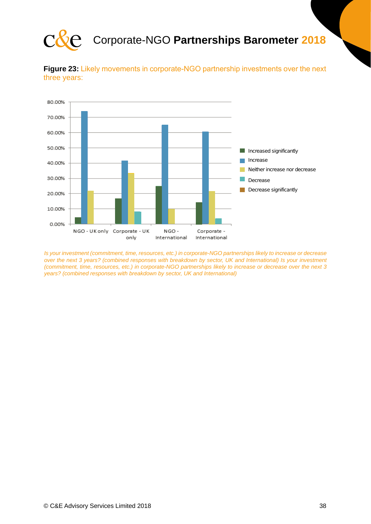![](_page_37_Picture_0.jpeg)

![](_page_37_Figure_2.jpeg)

![](_page_37_Figure_3.jpeg)

*Is your investment (commitment, time, resources, etc.) in corporate-NGO partnerships likely to increase or decrease over the next 3 years? (combined responses with breakdown by sector, UK and International) Is your investment (commitment, time, resources, etc.) in corporate-NGO partnerships likely to increase or decrease over the next 3 years? (combined responses with breakdown by sector, UK and International)*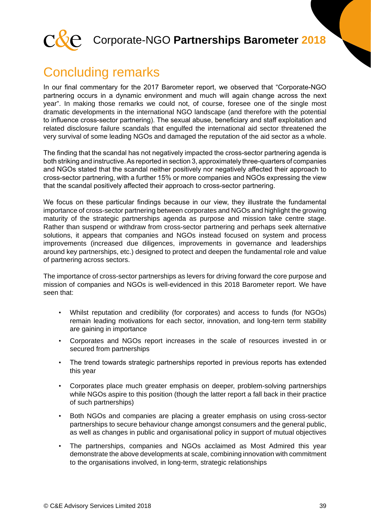![](_page_38_Picture_0.jpeg)

# Concluding remarks

In our final commentary for the 2017 Barometer report, we observed that "Corporate-NGO partnering occurs in a dynamic environment and much will again change across the next year". In making those remarks we could not, of course, foresee one of the single most dramatic developments in the international NGO landscape (and therefore with the potential to influence cross-sector partnering). The sexual abuse, beneficiary and staff exploitation and related disclosure failure scandals that engulfed the international aid sector threatened the very survival of some leading NGOs and damaged the reputation of the aid sector as a whole.

The finding that the scandal has not negatively impacted the cross-sector partnering agenda is both striking and instructive. As reported in section 3, approximately three-quarters of companies and NGOs stated that the scandal neither positively nor negatively affected their approach to cross-sector partnering, with a further 15% or more companies and NGOs expressing the view that the scandal positively affected their approach to cross-sector partnering.

We focus on these particular findings because in our view, they illustrate the fundamental importance of cross-sector partnering between corporates and NGOs and highlight the growing maturity of the strategic partnerships agenda as purpose and mission take centre stage. Rather than suspend or withdraw from cross-sector partnering and perhaps seek alternative solutions, it appears that companies and NGOs instead focused on system and process improvements (increased due diligences, improvements in governance and leaderships around key partnerships, etc.) designed to protect and deepen the fundamental role and value of partnering across sectors.

The importance of cross-sector partnerships as levers for driving forward the core purpose and mission of companies and NGOs is well-evidenced in this 2018 Barometer report. We have seen that:

- Whilst reputation and credibility (for corporates) and access to funds (for NGOs) remain leading motivations for each sector, innovation, and long-tern term stability are gaining in importance
- Corporates and NGOs report increases in the scale of resources invested in or secured from partnerships
- The trend towards strategic partnerships reported in previous reports has extended this year
- Corporates place much greater emphasis on deeper, problem-solving partnerships while NGOs aspire to this position (though the latter report a fall back in their practice of such partnerships)
- Both NGOs and companies are placing a greater emphasis on using cross-sector partnerships to secure behaviour change amongst consumers and the general public, as well as changes in public and organisational policy in support of mutual objectives
- The partnerships, companies and NGOs acclaimed as Most Admired this year demonstrate the above developments at scale, combining innovation with commitment to the organisations involved, in long-term, strategic relationships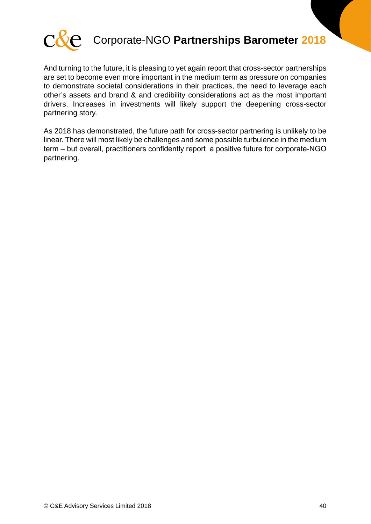![](_page_39_Picture_0.jpeg)

And turning to the future, it is pleasing to yet again report that cross-sector partnerships are set to become even more important in the medium term as pressure on companies to demonstrate societal considerations in their practices, the need to leverage each other's assets and brand & and credibility considerations act as the most important drivers. Increases in investments will likely support the deepening cross-sector partnering story.

As 2018 has demonstrated, the future path for cross-sector partnering is unlikely to be linear. There will most likely be challenges and some possible turbulence in the medium term – but overall, practitioners confidently report a positive future for corporate-NGO partnering.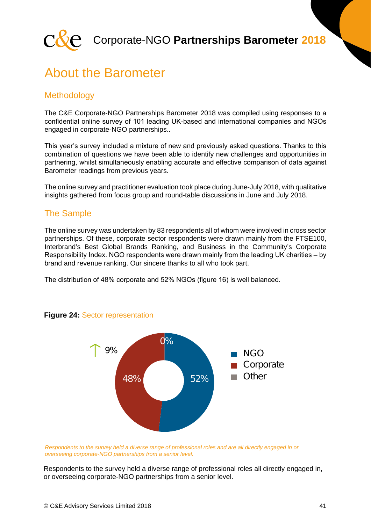![](_page_40_Picture_0.jpeg)

### About the Barometer

#### **Methodology**

The C&E Corporate-NGO Partnerships Barometer 2018 was compiled using responses to a confidential online survey of 101 leading UK-based and international companies and NGOs engaged in corporate-NGO partnerships..

This year's survey included a mixture of new and previously asked questions. Thanks to this combination of questions we have been able to identify new challenges and opportunities in partnering, whilst simultaneously enabling accurate and effective comparison of data against Barometer readings from previous years.

The online survey and practitioner evaluation took place during June-July 2018, with qualitative insights gathered from focus group and round-table discussions in June and July 2018.

#### The Sample

The online survey was undertaken by 83 respondents all of whom were involved in cross sector partnerships. Of these, corporate sector respondents were drawn mainly from the FTSE100, Interbrand's Best Global Brands Ranking, and Business in the Community's Corporate Responsibility Index. NGO respondents were drawn mainly from the leading UK charities – by brand and revenue ranking. Our sincere thanks to all who took part.

The distribution of 48% corporate and 52% NGOs (figure 16) is well balanced.

![](_page_40_Figure_10.jpeg)

#### **Figure 24:** Sector representation

*Respondents to the survey held a diverse range of professional roles and are all directly engaged in or overseeing corporate-NGO partnerships from a senior level.* 

Respondents to the survey held a diverse range of professional roles all directly engaged in, or overseeing corporate-NGO partnerships from a senior level.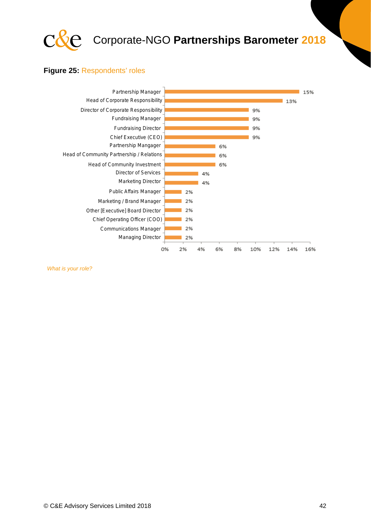![](_page_41_Picture_0.jpeg)

#### **Figure 25:** Respondents' roles

![](_page_41_Figure_3.jpeg)

*What is your role?*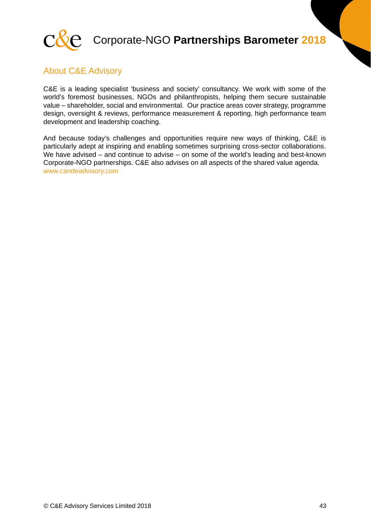![](_page_42_Picture_0.jpeg)

#### About C&E Advisory

C&E is a leading specialist 'business and society' consultancy. We work with some of the world's foremost businesses, NGOs and philanthropists, helping them secure sustainable value – shareholder, social and environmental. Our practice areas cover strategy, programme design, oversight & reviews, performance measurement & reporting, high performance team development and leadership coaching.

And because today's challenges and opportunities require new ways of thinking, C&E is particularly adept at inspiring and enabling sometimes surprising cross-sector collaborations. We have advised – and continue to advise – on some of the world's leading and best-known Corporate-NGO partnerships. C&E also advises on all aspects of the shared value agenda. www.candeadvisory.com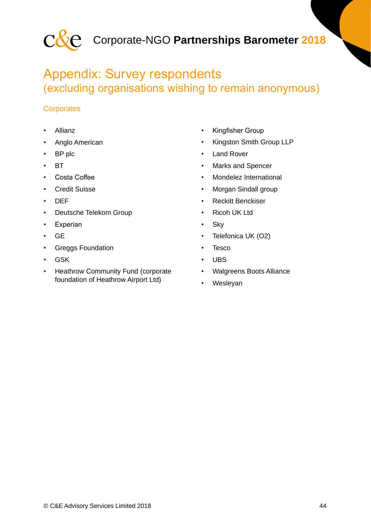![](_page_43_Picture_0.jpeg)

### Appendix: Survey respondents (excluding organisations wishing to remain anonymous)

#### **Corporates**

- Allianz
- Anglo American
- BP plc
- BT
- Costa Coffee
- **Credit Suisse**
- DEF
- Deutsche Telekom Group
- Experian
- GE
- Greggs Foundation
- GSK
- Heathrow Community Fund (corporate foundation of Heathrow Airport Ltd)
- Kingfisher Group
- Kingston Smith Group LLP
- **Land Rover**
- Marks and Spencer
- Mondelez International
- Morgan Sindall group
- Reckitt Benckiser
- Ricoh UK Ltd
- Sky
- Telefonica UK (O2)
- Tesco
- UBS
- Walgreens Boots Alliance
- Wesleyan